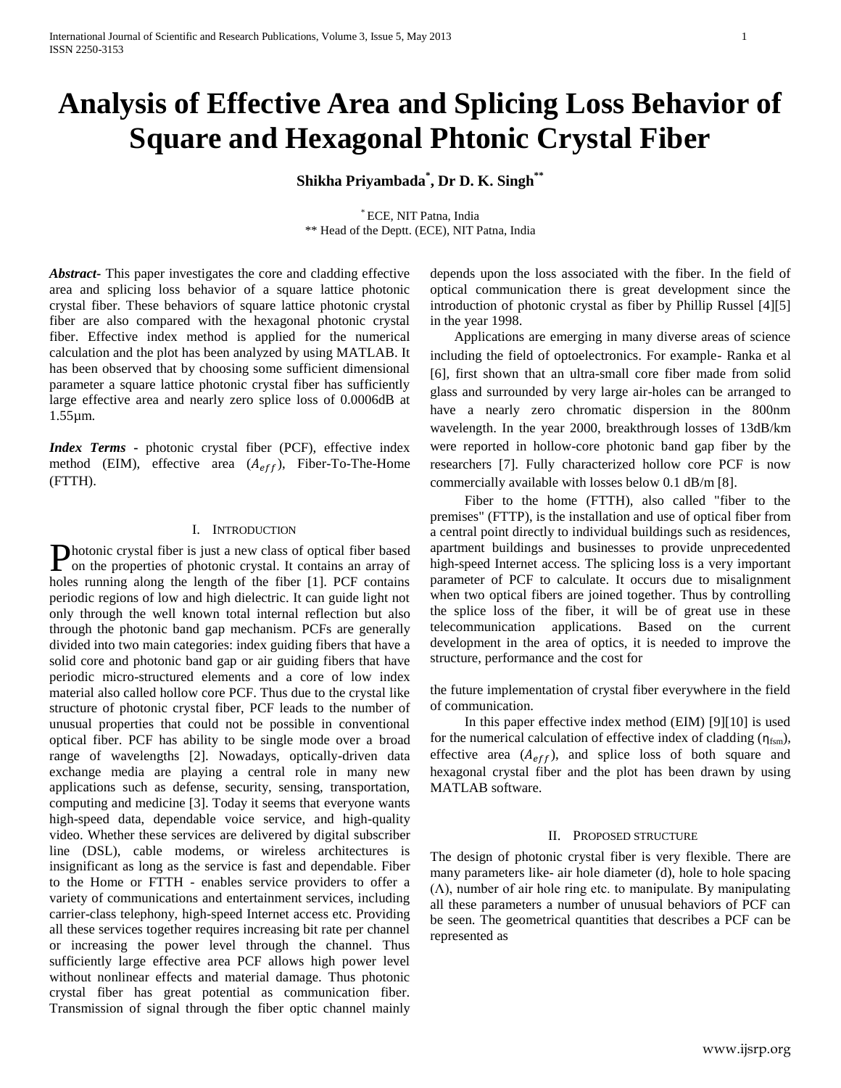# **Analysis of Effective Area and Splicing Loss Behavior of Square and Hexagonal Phtonic Crystal Fiber**

**Shikha Priyambada\* , Dr D. K. Singh\*\***

\* ECE, NIT Patna, India \*\* Head of the Deptt. (ECE), NIT Patna, India

*Abstract***-** This paper investigates the core and cladding effective area and splicing loss behavior of a square lattice photonic crystal fiber. These behaviors of square lattice photonic crystal fiber are also compared with the hexagonal photonic crystal fiber. Effective index method is applied for the numerical calculation and the plot has been analyzed by using MATLAB. It has been observed that by choosing some sufficient dimensional parameter a square lattice photonic crystal fiber has sufficiently large effective area and nearly zero splice loss of 0.0006dB at 1.55µm.

*Index Terms* **-** photonic crystal fiber (PCF), effective index method (EIM), effective area  $(A_{eff})$ , Fiber-To-The-Home (FTTH).

# I. INTRODUCTION

Photonic crystal fiber is just a new class of optical fiber based<br>on the properties of photonic crystal. It contains an array of on the properties of photonic crystal. It contains an array of holes running along the length of the fiber [1]. PCF contains periodic regions of low and high dielectric. It can guide light not only through the well known total internal reflection but also through the photonic band gap mechanism. PCFs are generally divided into two main categories: index guiding fibers that have a solid core and photonic band gap or air guiding fibers that have periodic micro-structured elements and a core of low index material also called hollow core PCF. Thus due to the crystal like structure of photonic crystal fiber, PCF leads to the number of unusual properties that could not be possible in conventional optical fiber. PCF has ability to be single mode over a broad range of wavelengths [2]. Nowadays, optically-driven data exchange media are playing a central role in many new applications such as defense, security, sensing, transportation, computing and medicine [3]. Today it seems that everyone wants high-speed data, dependable voice service, and high-quality video. Whether these services are delivered by digital subscriber line (DSL), cable modems, or wireless architectures is insignificant as long as the service is fast and dependable. Fiber to the Home or FTTH - enables service providers to offer a variety of communications and entertainment services, including carrier-class telephony, high-speed Internet access etc. Providing all these services together requires increasing bit rate per channel or increasing the power level through the channel. Thus sufficiently large effective area PCF allows high power level without nonlinear effects and material damage. Thus photonic crystal fiber has great potential as communication fiber. Transmission of signal through the fiber optic channel mainly

depends upon the loss associated with the fiber. In the field of optical communication there is great development since the introduction of photonic crystal as fiber by Phillip Russel [4][5] in the year 1998.

 Applications are emerging in many diverse areas of science including the field of optoelectronics. For example- Ranka et al [6], first shown that an ultra-small core fiber made from solid glass and surrounded by very large air-holes can be arranged to have a nearly zero chromatic dispersion in the 800nm wavelength. In the year 2000, breakthrough losses of 13dB/km were reported in hollow-core photonic band gap fiber by the researchers [7]. Fully characterized hollow core PCF is now commercially available with losses below 0.1 dB/m [8].

 Fiber to the home (FTTH), also called "fiber to the premises" (FTTP), is the installation and use of optical fiber from a central point directly to individual buildings such as residences, apartment buildings and businesses to provide unprecedented high-speed Internet access. The splicing loss is a very important parameter of PCF to calculate. It occurs due to misalignment when two optical fibers are joined together. Thus by controlling the splice loss of the fiber, it will be of great use in these telecommunication applications. Based on the current development in the area of optics, it is needed to improve the structure, performance and the cost for

the future implementation of crystal fiber everywhere in the field of communication.

 In this paper effective index method (EIM) [9][10] is used for the numerical calculation of effective index of cladding  $(\eta_{\text{fsm}})$ , effective area  $(A_{eff})$ , and splice loss of both square and hexagonal crystal fiber and the plot has been drawn by using MATLAB software.

# II. PROPOSED STRUCTURE

The design of photonic crystal fiber is very flexible. There are many parameters like- air hole diameter (d), hole to hole spacing  $(Λ)$ , number of air hole ring etc. to manipulate. By manipulating all these parameters a number of unusual behaviors of PCF can be seen. The geometrical quantities that describes a PCF can be represented as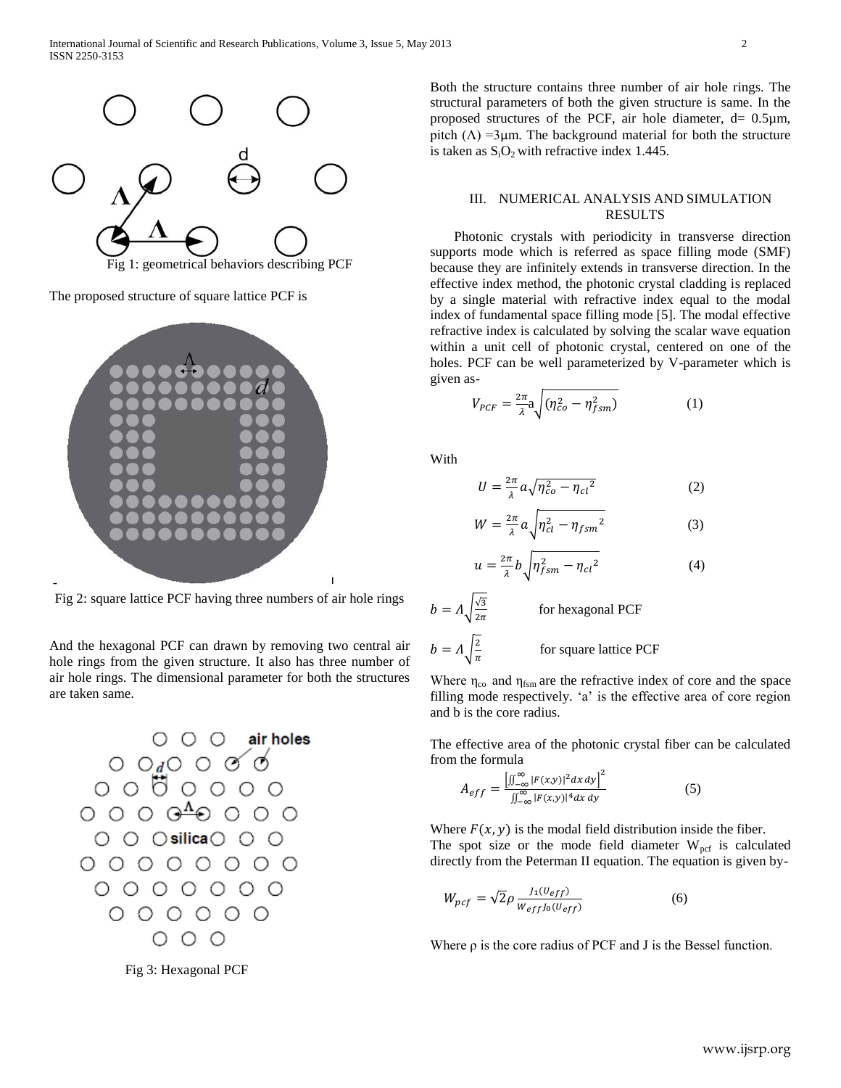

The proposed structure of square lattice PCF is



Fig 2: square lattice PCF having three numbers of air hole rings

And the hexagonal PCF can drawn by removing two central air hole rings from the given structure. It also has three number of air hole rings. The dimensional parameter for both the structures are taken same.



Fig 3: Hexagonal PCF

Both the structure contains three number of air hole rings. The structural parameters of both the given structure is same. In the proposed structures of the PCF, air hole diameter,  $d = 0.5 \mu m$ , pitch  $(\Lambda)$  =3 $\mu$ m. The background material for both the structure is taken as  $S_iO_2$  with refractive index 1.445.

# III. NUMERICAL ANALYSIS AND SIMULATION RESULTS

 Photonic crystals with periodicity in transverse direction supports mode which is referred as space filling mode (SMF) because they are infinitely extends in transverse direction. In the effective index method, the photonic crystal cladding is replaced by a single material with refractive index equal to the modal index of fundamental space filling mode [5]. The modal effective refractive index is calculated by solving the scalar wave equation within a unit cell of photonic crystal, centered on one of the holes. PCF can be well parameterized by V-parameter which is given as-

$$
V_{PCF} = \frac{2\pi}{\lambda} a \sqrt{(\eta_{co}^2 - \eta_{fsm}^2)} \tag{1}
$$

With

 $\overline{u}$ 

$$
U = \frac{2\pi}{\lambda} a \sqrt{\eta_{co}^2 - \eta_{cl}^2}
$$
 (2)

$$
W = \frac{2\pi}{\lambda} a \sqrt{\eta_{cl}^2 - \eta_{fsm}^2}
$$
 (3)

$$
=\frac{2\pi}{\lambda}b\sqrt{\eta_{fsm}^2-\eta_{cl}^2}\tag{4}
$$

 $b = \Lambda \sqrt{\frac{\sqrt{3}}{2}}$  $\overline{\mathbf{c}}$  for hexagonal PCF  $b=A\vert\frac{2}{\vert}$  $\pi$ for square lattice PCF

Where  $\eta_{\rm co}$  and  $\eta_{\rm fsm}$  are the refractive index of core and the space filling mode respectively. 'a' is the effective area of core region and b is the core radius.

The effective area of the photonic crystal fiber can be calculated from the formula

$$
A_{eff} = \frac{\left[\iint_{-\infty}^{\infty} |F(x,y)|^2 dx dy\right]^2}{\iint_{-\infty}^{\infty} |F(x,y)|^4 dx dy}
$$
(5)

Where  $F(x, y)$  is the modal field distribution inside the fiber. The spot size or the mode field diameter  $W_{\text{pcf}}$  is calculated directly from the Peterman II equation. The equation is given by-

$$
W_{pcf} = \sqrt{2}\rho \frac{J_1(U_{eff})}{W_{eff}J_0(U_{eff})}
$$
 (6)

Where  $\rho$  is the core radius of PCF and J is the Bessel function.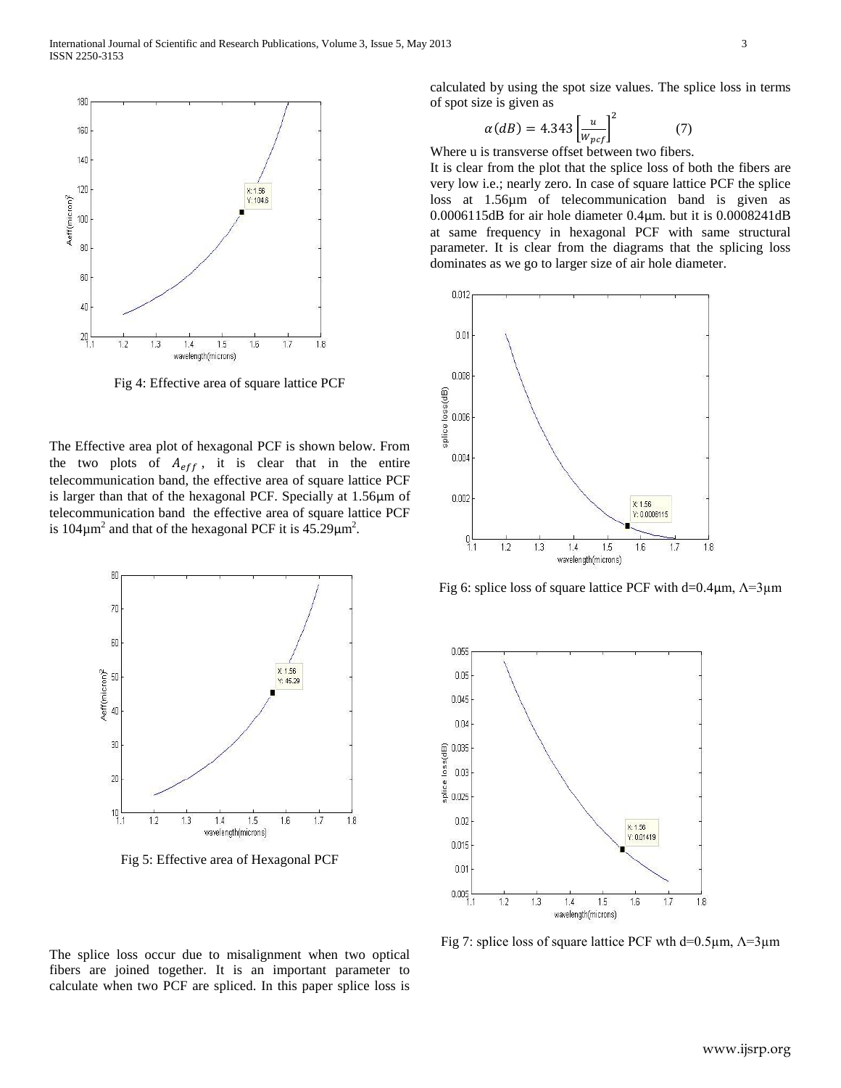

Fig 4: Effective area of square lattice PCF

The Effective area plot of hexagonal PCF is shown below. From the two plots of  $A_{eff}$ , it is clear that in the entire telecommunication band, the effective area of square lattice PCF is larger than that of the hexagonal PCF. Specially at 1.56μm of telecommunication band the effective area of square lattice PCF is 104 $\mu$ m<sup>2</sup> and that of the hexagonal PCF it is 45.29 $\mu$ m<sup>2</sup>.



Fig 5: Effective area of Hexagonal PCF

The splice loss occur due to misalignment when two optical fibers are joined together. It is an important parameter to calculate when two PCF are spliced. In this paper splice loss is calculated by using the spot size values. The splice loss in terms of spot size is given as

$$
\alpha(dB) = 4.343 \left[ \frac{u}{w_{pcf}} \right]^2 \tag{7}
$$

Where u is transverse offset between two fibers.

It is clear from the plot that the splice loss of both the fibers are very low i.e.; nearly zero. In case of square lattice PCF the splice loss at 1.56µm of telecommunication band is given as 0.0006115dB for air hole diameter 0.4μm. but it is 0.0008241dB at same frequency in hexagonal PCF with same structural parameter. It is clear from the diagrams that the splicing loss dominates as we go to larger size of air hole diameter.



Fig 6: splice loss of square lattice PCF with d=0.4 $\mu$ m,  $\Lambda$ =3 $\mu$ m



Fig 7: splice loss of square lattice PCF wth d=0.5μm,  $Λ=3μ$ m